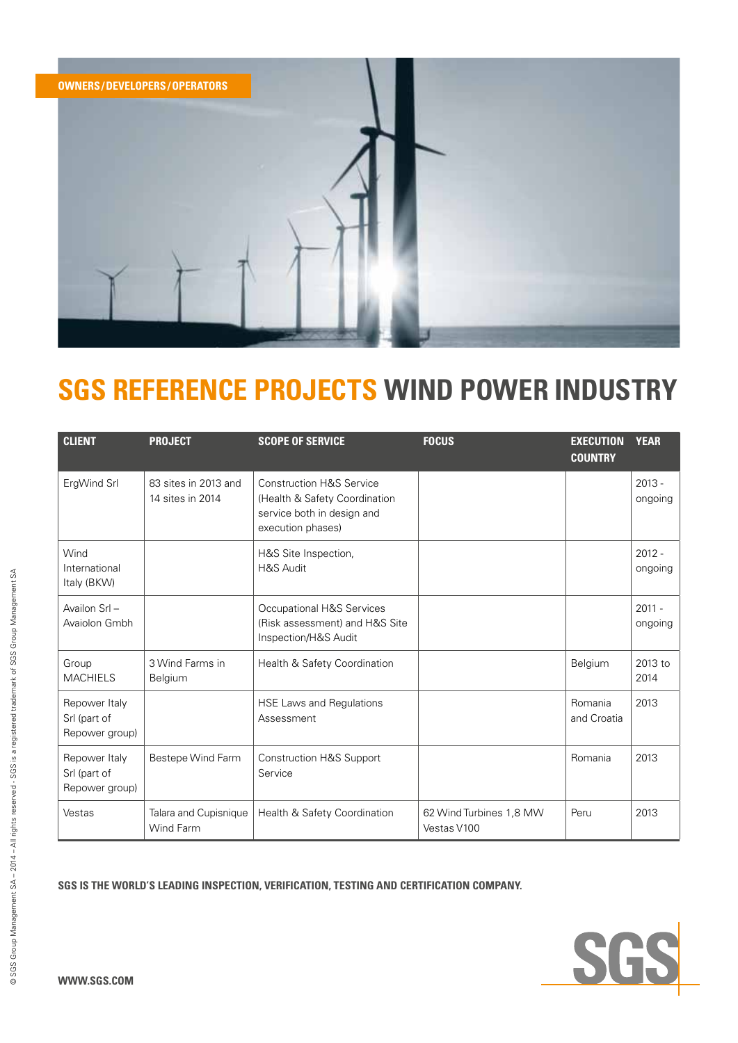

| <b>CLIENT</b>                                   | <b>PROJECT</b>                           | <b>SCOPE OF SERVICE</b>                                                                                                 | <b>FOCUS</b>                           | <b>EXECUTION</b><br><b>COUNTRY</b> | <b>YEAR</b>         |
|-------------------------------------------------|------------------------------------------|-------------------------------------------------------------------------------------------------------------------------|----------------------------------------|------------------------------------|---------------------|
| ErgWind Srl                                     | 83 sites in 2013 and<br>14 sites in 2014 | <b>Construction H&amp;S Service</b><br>(Health & Safety Coordination<br>service both in design and<br>execution phases) |                                        |                                    | $2013 -$<br>ongoing |
| Wind<br>International<br>Italy (BKW)            |                                          | H&S Site Inspection,<br><b>H&amp;S Audit</b>                                                                            |                                        |                                    | $2012 -$<br>ongoing |
| Availon Srl-<br>Avaiolon Gmbh                   |                                          | Occupational H&S Services<br>(Risk assessment) and H&S Site<br>Inspection/H&S Audit                                     |                                        |                                    | $2011 -$<br>ongoing |
| Group<br><b>MACHIELS</b>                        | 3 Wind Farms in<br>Belgium               | Health & Safety Coordination                                                                                            |                                        | Belgium                            | 2013 to<br>2014     |
| Repower Italy<br>Srl (part of<br>Repower group) |                                          | HSE Laws and Regulations<br>Assessment                                                                                  |                                        | Romania<br>and Croatia             | 2013                |
| Repower Italy<br>Srl (part of<br>Repower group) | Bestepe Wind Farm                        | <b>Construction H&amp;S Support</b><br>Service                                                                          |                                        | Romania                            | 2013                |
| Vestas                                          | Talara and Cupisnique<br>Wind Farm       | Health & Safety Coordination                                                                                            | 62 Wind Turbines 1,8 MW<br>Vestas V100 | Peru                               | 2013                |

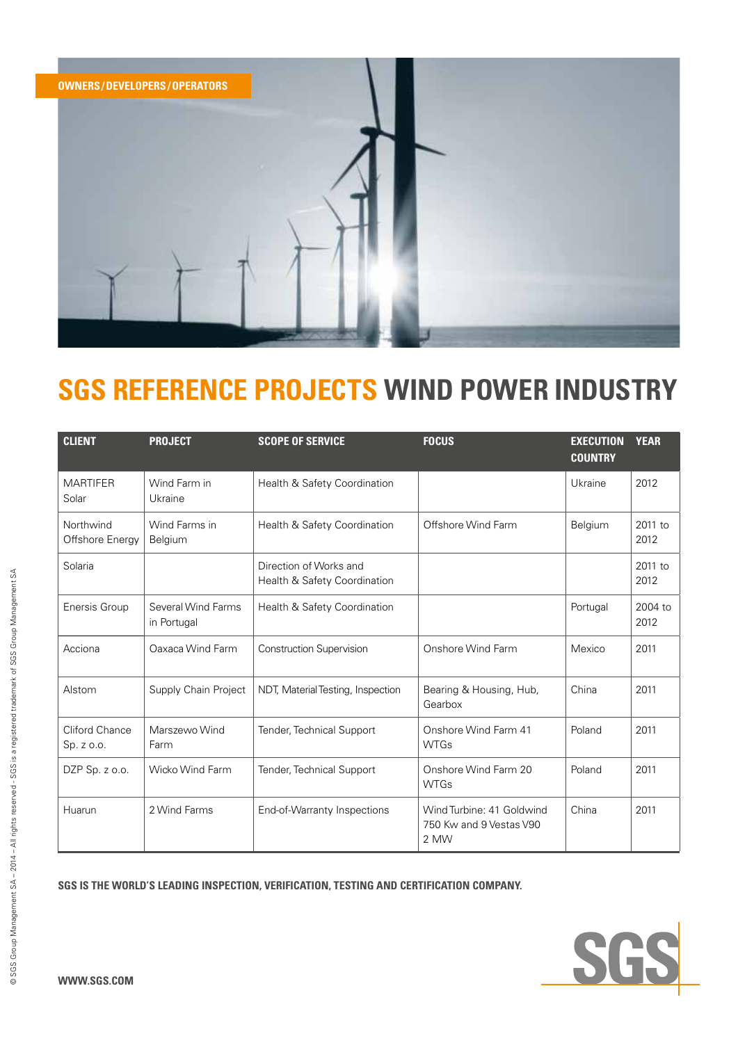

| <b>CLIENT</b>                | <b>PROJECT</b>                    | <b>SCOPE OF SERVICE</b>                                | <b>FOCUS</b>                                                 | <b>EXECUTION</b><br><b>COUNTRY</b> | <b>YEAR</b>       |
|------------------------------|-----------------------------------|--------------------------------------------------------|--------------------------------------------------------------|------------------------------------|-------------------|
| <b>MARTIFER</b><br>Solar     | Wind Farm in<br>Ukraine           | Health & Safety Coordination                           |                                                              | Ukraine                            | 2012              |
| Northwind<br>Offshore Energy | Wind Farms in<br>Belgium          | Health & Safety Coordination                           | Offshore Wind Farm                                           | Belgium                            | 2011 to<br>2012   |
| Solaria                      |                                   | Direction of Works and<br>Health & Safety Coordination |                                                              |                                    | $2011$ to<br>2012 |
| Enersis Group                | Several Wind Farms<br>in Portugal | Health & Safety Coordination                           |                                                              | Portugal                           | 2004 to<br>2012   |
| Acciona                      | Oaxaca Wind Farm                  | <b>Construction Supervision</b>                        | Onshore Wind Farm                                            | Mexico                             | 2011              |
| Alstom                       | Supply Chain Project              | NDT, Material Testing, Inspection                      | Bearing & Housing, Hub,<br>Gearbox                           | China                              | 2011              |
| Cliford Chance<br>Sp. z o.o. | Marszewo Wind<br>Farm             | Tender, Technical Support                              | Onshore Wind Farm 41<br><b>WTGs</b>                          | Poland                             | 2011              |
| DZP Sp. z o.o.               | Wicko Wind Farm                   | Tender, Technical Support                              | Onshore Wind Farm 20<br><b>WTGs</b>                          | Poland                             | 2011              |
| Huarun                       | 2 Wind Farms                      | End-of-Warranty Inspections                            | Wind Turbine: 41 Goldwind<br>750 Kw and 9 Vestas V90<br>2 MW | China                              | 2011              |

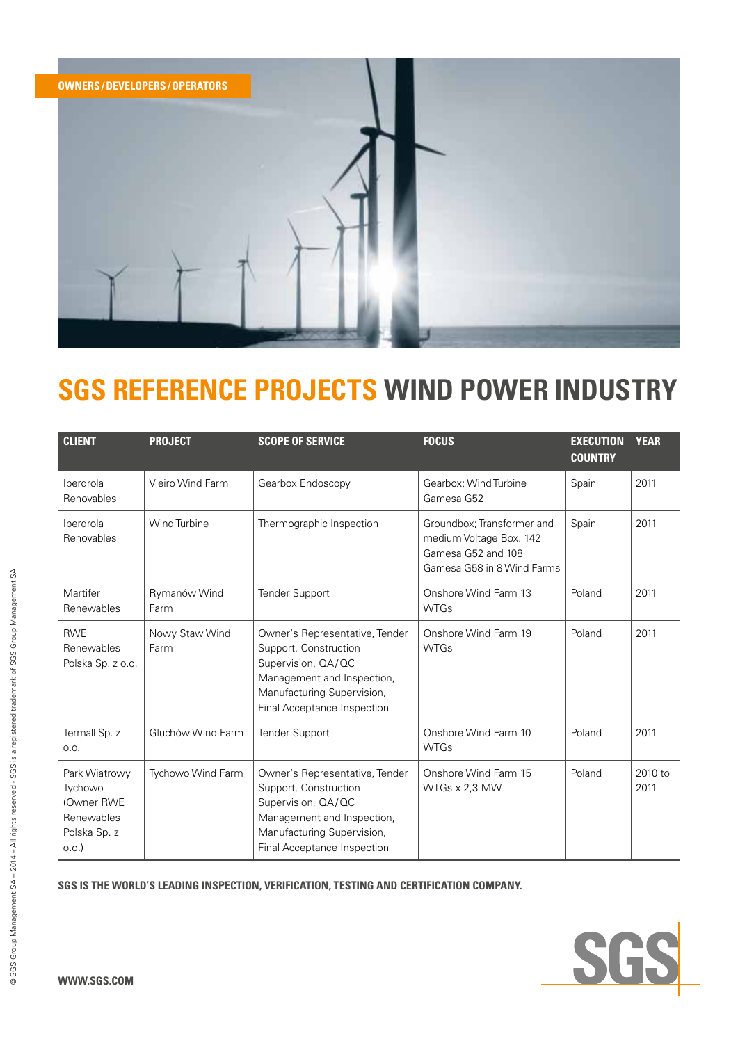

| <b>CLIENT</b>                                                                | <b>PROJECT</b>         | <b>SCOPE OF SERVICE</b>                                                                                                                                                  | <b>FOCUS</b>                                                                                              | <b>EXECUTION</b><br><b>COUNTRY</b> | <b>YEAR</b>     |
|------------------------------------------------------------------------------|------------------------|--------------------------------------------------------------------------------------------------------------------------------------------------------------------------|-----------------------------------------------------------------------------------------------------------|------------------------------------|-----------------|
| Iberdrola<br>Renovables                                                      | Vieiro Wind Farm       | Gearbox Endoscopy                                                                                                                                                        | Gearbox; Wind Turbine<br>Gamesa G52                                                                       | Spain                              | 2011            |
| Iberdrola<br>Renovables                                                      | Wind Turbine           | Thermographic Inspection                                                                                                                                                 | Groundbox; Transformer and<br>medium Voltage Box. 142<br>Gamesa G52 and 108<br>Gamesa G58 in 8 Wind Farms | Spain                              | 2011            |
| Martifer<br>Renewables                                                       | Rymanów Wind<br>Farm   | <b>Tender Support</b>                                                                                                                                                    | Onshore Wind Farm 13<br><b>WTGs</b>                                                                       | Poland                             | 2011            |
| <b>RWE</b><br>Renewables<br>Polska Sp. z o.o.                                | Nowy Staw Wind<br>Farm | Owner's Representative, Tender<br>Support, Construction<br>Supervision, QA/QC<br>Management and Inspection,<br>Manufacturing Supervision,<br>Final Acceptance Inspection | Onshore Wind Farm 19<br><b>WTGs</b>                                                                       | Poland                             | 2011            |
| Termall Sp. z<br>O.O.                                                        | Gluchów Wind Farm      | <b>Tender Support</b>                                                                                                                                                    | Onshore Wind Farm 10<br><b>WTGs</b>                                                                       | Poland                             | 2011            |
| Park Wiatrowy<br>Tychowo<br>(Owner RWE<br>Renewables<br>Polska Sp. z<br>0.0. | Tychowo Wind Farm      | Owner's Representative, Tender<br>Support, Construction<br>Supervision, QA/QC<br>Management and Inspection,<br>Manufacturing Supervision,<br>Final Acceptance Inspection | Onshore Wind Farm 15<br>WTGs x 2,3 MW                                                                     | Poland                             | 2010 to<br>2011 |

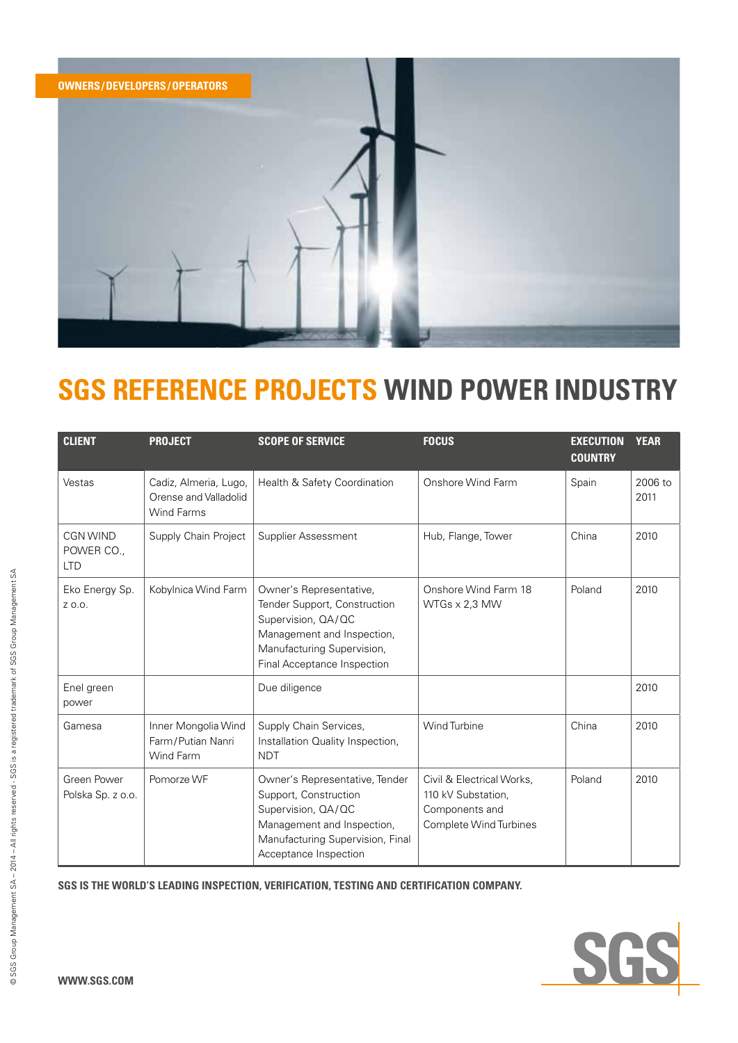

| <b>CLIENT</b>                        | <b>PROJECT</b>                                                      | <b>SCOPE OF SERVICE</b>                                                                                                                                                  | <b>FOCUS</b>                                                                                | <b>EXECUTION</b><br><b>COUNTRY</b> | <b>YEAR</b>     |
|--------------------------------------|---------------------------------------------------------------------|--------------------------------------------------------------------------------------------------------------------------------------------------------------------------|---------------------------------------------------------------------------------------------|------------------------------------|-----------------|
| Vestas                               | Cadiz, Almeria, Lugo,<br>Orense and Valladolid<br><b>Wind Farms</b> | Health & Safety Coordination                                                                                                                                             | Onshore Wind Farm                                                                           | Spain                              | 2006 to<br>2011 |
| CGN WIND<br>POWER CO.,<br><b>LTD</b> | Supply Chain Project                                                | Supplier Assessment                                                                                                                                                      | Hub, Flange, Tower                                                                          | China                              | 2010            |
| Eko Energy Sp.<br>Z 0.0.             | Kobylnica Wind Farm                                                 | Owner's Representative,<br>Tender Support, Construction<br>Supervision, QA/QC<br>Management and Inspection,<br>Manufacturing Supervision,<br>Final Acceptance Inspection | Onshore Wind Farm 18<br>$WTSs \times 2.3$ MW                                                | Poland                             | 2010            |
| Enel green<br>power                  |                                                                     | Due diligence                                                                                                                                                            |                                                                                             |                                    | 2010            |
| Gamesa                               | Inner Mongolia Wind<br>Farm/Putian Nanri<br>Wind Farm               | Supply Chain Services,<br>Installation Quality Inspection,<br><b>NDT</b>                                                                                                 | <b>Wind Turbine</b>                                                                         | China                              | 2010            |
| Green Power<br>Polska Sp. z o.o.     | Pomorze WF                                                          | Owner's Representative, Tender<br>Support, Construction<br>Supervision, QA/QC<br>Management and Inspection,<br>Manufacturing Supervision, Final<br>Acceptance Inspection | Civil & Electrical Works,<br>110 kV Substation,<br>Components and<br>Complete Wind Turbines | Poland                             | 2010            |

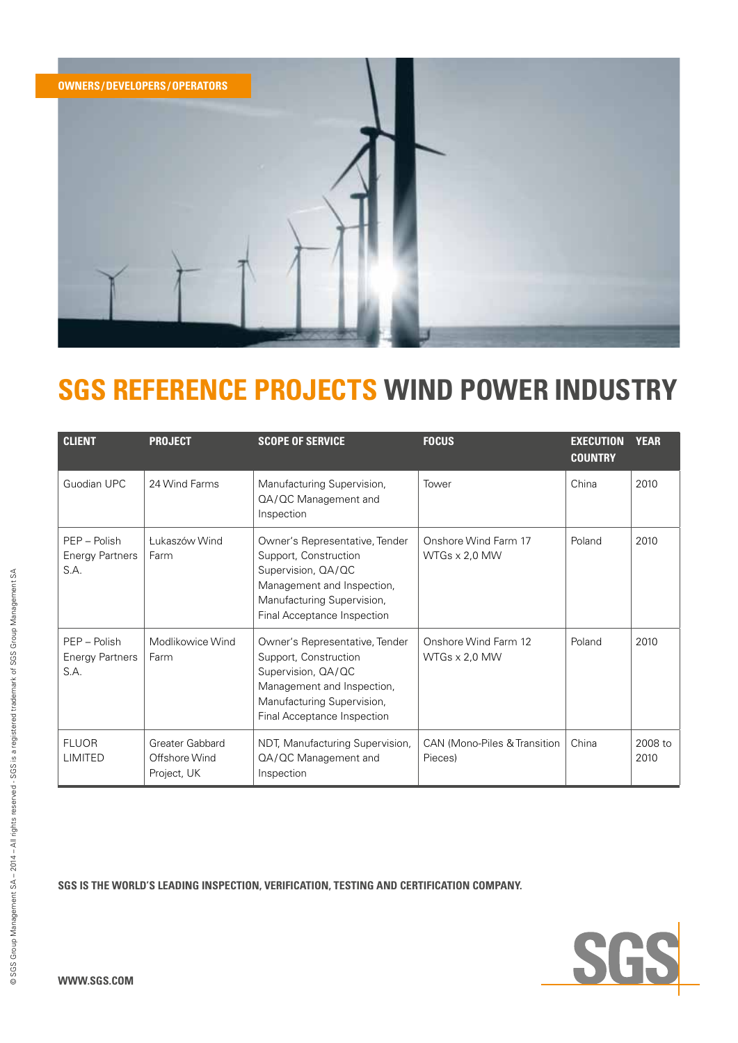

| <b>CLIENT</b>                                  | <b>PROJECT</b>                                  | <b>SCOPE OF SERVICE</b>                                                                                                                                                  | <b>FOCUS</b>                                 | <b>EXECUTION</b><br><b>COUNTRY</b> | <b>YEAR</b>     |
|------------------------------------------------|-------------------------------------------------|--------------------------------------------------------------------------------------------------------------------------------------------------------------------------|----------------------------------------------|------------------------------------|-----------------|
| Guodian UPC                                    | 24 Wind Farms                                   | Manufacturing Supervision,<br>QA/QC Management and<br>Inspection                                                                                                         | Tower                                        | China                              | 2010            |
| PEP - Polish<br><b>Energy Partners</b><br>S.A. | Łukaszów Wind<br>Farm                           | Owner's Representative, Tender<br>Support, Construction<br>Supervision, QA/QC<br>Management and Inspection,<br>Manufacturing Supervision,<br>Final Acceptance Inspection | Onshore Wind Farm 17<br>$WTSs \times 2,0 MW$ | Poland                             | 2010            |
| PEP - Polish<br><b>Energy Partners</b><br>S.A. | Modlikowice Wind<br>Farm                        | Owner's Representative, Tender<br>Support, Construction<br>Supervision, QA/QC<br>Management and Inspection,<br>Manufacturing Supervision,<br>Final Acceptance Inspection | Onshore Wind Farm 12<br>$WTGs \times 2.0 MW$ | Poland                             | 2010            |
| <b>FLUOR</b><br>LIMITED                        | Greater Gabbard<br>Offshore Wind<br>Project, UK | NDT, Manufacturing Supervision,<br>QA/QC Management and<br>Inspection                                                                                                    | CAN (Mono-Piles & Transition<br>Pieces)      | China                              | 2008 to<br>2010 |

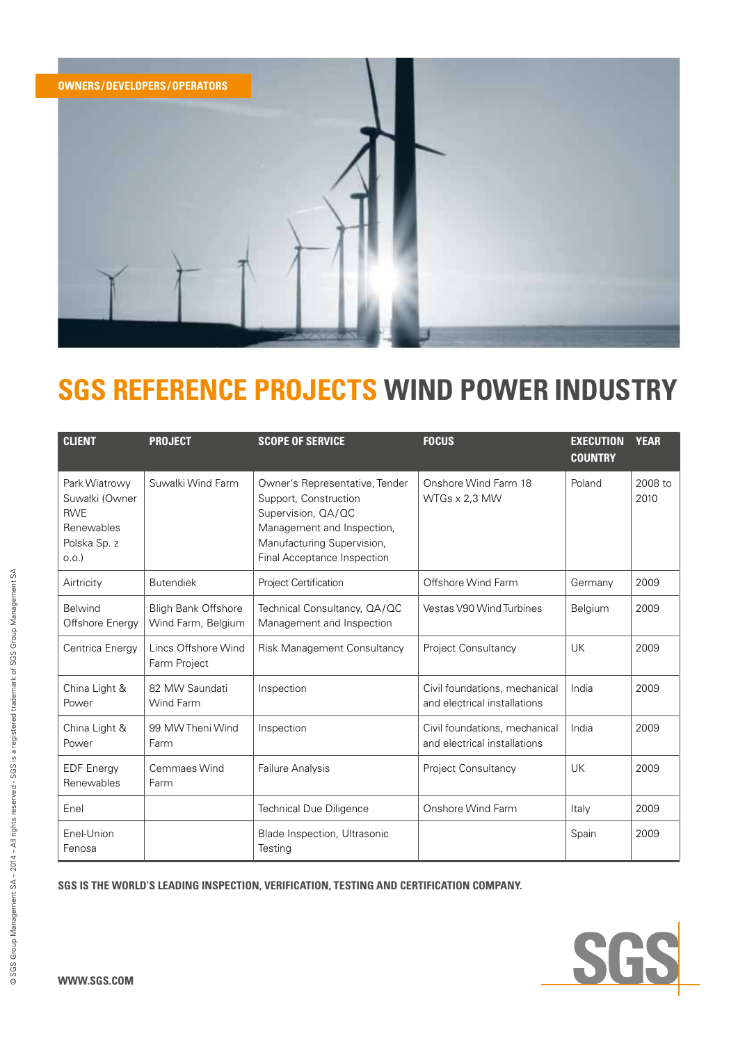

| <b>CLIENT</b>                                                                       | <b>PROJECT</b>                                   | <b>SCOPE OF SERVICE</b>                                                                                                                                                  | <b>FOCUS</b>                                                  | <b>EXECUTION</b><br><b>COUNTRY</b> | <b>YEAR</b>     |
|-------------------------------------------------------------------------------------|--------------------------------------------------|--------------------------------------------------------------------------------------------------------------------------------------------------------------------------|---------------------------------------------------------------|------------------------------------|-----------------|
| Park Wiatrowy<br>Suwałki (Owner<br><b>RWE</b><br>Renewables<br>Polska Sp. z<br>O.O. | Suwałki Wind Farm                                | Owner's Representative, Tender<br>Support, Construction<br>Supervision, QA/QC<br>Management and Inspection,<br>Manufacturing Supervision,<br>Final Acceptance Inspection | Onshore Wind Farm 18<br>WTGs x 2,3 MW                         | Poland                             | 2008 to<br>2010 |
| Airtricity                                                                          | <b>Butendiek</b>                                 | Project Certification                                                                                                                                                    | Offshore Wind Farm                                            | Germany                            | 2009            |
| <b>Belwind</b><br>Offshore Energy                                                   | <b>Bligh Bank Offshore</b><br>Wind Farm, Belgium | Technical Consultancy, QA/QC<br>Management and Inspection                                                                                                                | Vestas V90 Wind Turbines                                      | Belgium                            | 2009            |
| Centrica Energy                                                                     | Lincs Offshore Wind<br>Farm Project              | Risk Management Consultancy                                                                                                                                              | Project Consultancy                                           | <b>UK</b>                          | 2009            |
| China Light &<br>Power                                                              | 82 MW Saundati<br>Wind Farm                      | Inspection                                                                                                                                                               | Civil foundations, mechanical<br>and electrical installations | India                              | 2009            |
| China Light &<br>Power                                                              | 99 MW Theni Wind<br>Farm                         | Inspection                                                                                                                                                               | Civil foundations, mechanical<br>and electrical installations | India                              | 2009            |
| <b>EDF</b> Energy<br>Renewables                                                     | Cemmaes Wind<br>Farm                             | Failure Analysis                                                                                                                                                         | Project Consultancy                                           | UK                                 | 2009            |
| Enel                                                                                |                                                  | <b>Technical Due Diligence</b>                                                                                                                                           | Onshore Wind Farm                                             | Italy                              | 2009            |
| Enel-Union<br>Fenosa                                                                |                                                  | Blade Inspection, Ultrasonic<br>Testing                                                                                                                                  |                                                               | Spain                              | 2009            |

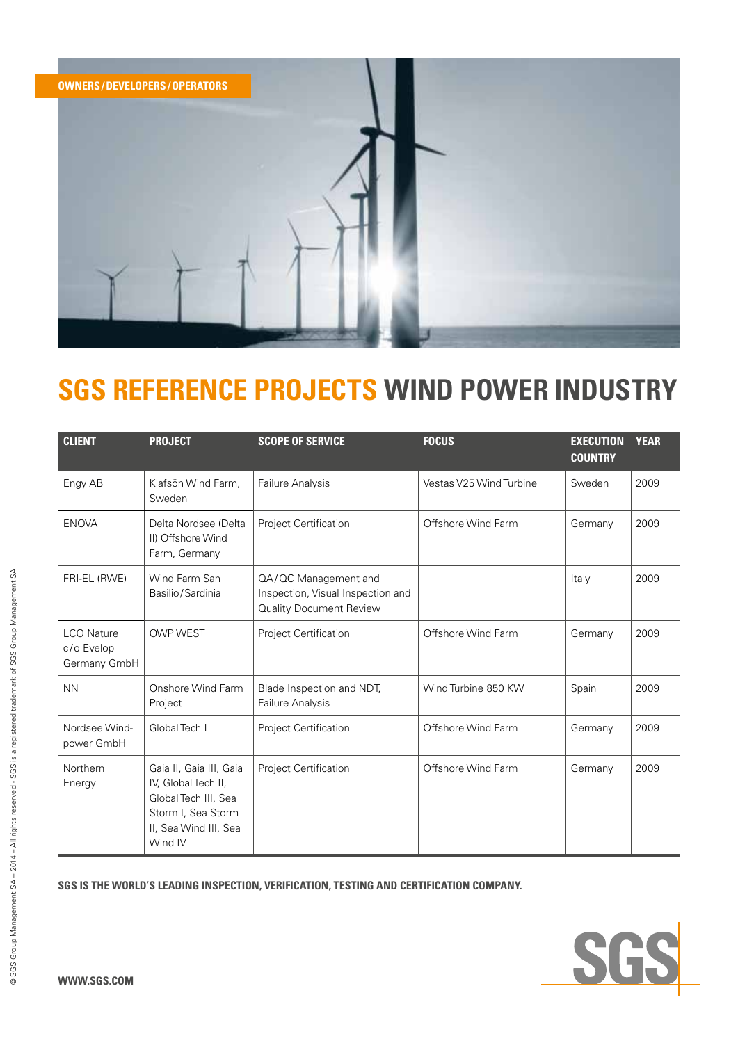

| <b>CLIENT</b>                                   | <b>PROJECT</b>                                                                                                                   | <b>SCOPE OF SERVICE</b>                                                              | <b>FOCUS</b>            | <b>EXECUTION</b><br><b>COUNTRY</b> | <b>YEAR</b> |
|-------------------------------------------------|----------------------------------------------------------------------------------------------------------------------------------|--------------------------------------------------------------------------------------|-------------------------|------------------------------------|-------------|
| Engy AB                                         | Klafsön Wind Farm,<br>Sweden                                                                                                     | Failure Analysis                                                                     | Vestas V25 Wind Turbine | Sweden                             | 2009        |
| <b>ENOVA</b>                                    | Delta Nordsee (Delta<br>II) Offshore Wind<br>Farm, Germany                                                                       | Project Certification                                                                | Offshore Wind Farm      | Germany                            | 2009        |
| FRI-EL (RWE)                                    | Wind Farm San<br>Basilio/Sardinia                                                                                                | QA/QC Management and<br>Inspection, Visual Inspection and<br>Quality Document Review |                         | Italy                              | 2009        |
| <b>LCO</b> Nature<br>c/o Evelop<br>Germany GmbH | <b>OWP WEST</b>                                                                                                                  | <b>Project Certification</b>                                                         | Offshore Wind Farm      | Germany                            | 2009        |
| <b>NN</b>                                       | Onshore Wind Farm<br>Project                                                                                                     | Blade Inspection and NDT,<br>Failure Analysis                                        | Wind Turbine 850 KW     | Spain                              | 2009        |
| Nordsee Wind-<br>power GmbH                     | Global Tech I                                                                                                                    | Project Certification                                                                | Offshore Wind Farm      | Germany                            | 2009        |
| Northern<br>Energy                              | Gaia II, Gaia III, Gaia<br>IV, Global Tech II,<br>Global Tech III, Sea<br>Storm I, Sea Storm<br>II, Sea Wind III, Sea<br>Wind IV | Project Certification                                                                | Offshore Wind Farm      | Germany                            | 2009        |

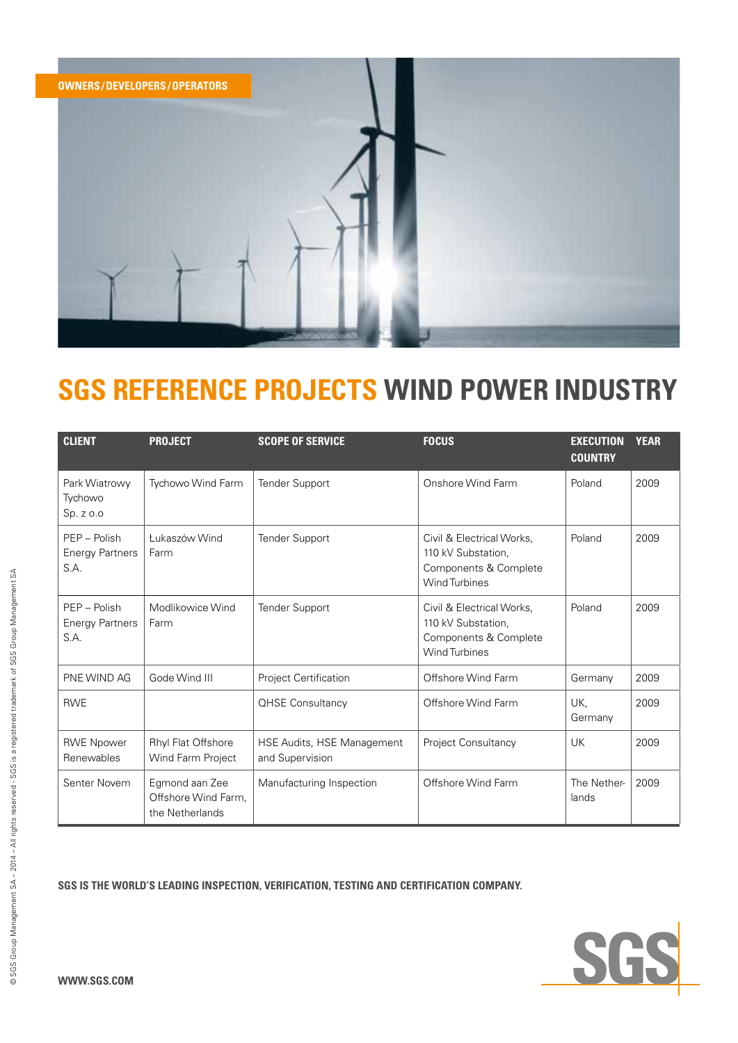

| <b>CLIENT</b>                                  | <b>PROJECT</b>                                           | <b>SCOPE OF SERVICE</b>                       | <b>FOCUS</b>                                                                                     | <b>EXECUTION</b><br><b>COUNTRY</b> | <b>YEAR</b> |
|------------------------------------------------|----------------------------------------------------------|-----------------------------------------------|--------------------------------------------------------------------------------------------------|------------------------------------|-------------|
| Park Wiatrowy<br>Tychowo<br>Sp. z o.o          | Tychowo Wind Farm                                        | <b>Tender Support</b>                         | Onshore Wind Farm                                                                                | Poland                             | 2009        |
| PEP - Polish<br><b>Energy Partners</b><br>S.A. | Łukaszów Wind<br>Farm                                    | <b>Tender Support</b>                         | Civil & Electrical Works,<br>110 kV Substation.<br>Components & Complete<br><b>Wind Turbines</b> | Poland                             | 2009        |
| PEP - Polish<br><b>Energy Partners</b><br>S.A. | Modlikowice Wind<br>Farm                                 | <b>Tender Support</b>                         | Civil & Electrical Works,<br>110 kV Substation,<br>Components & Complete<br><b>Wind Turbines</b> | Poland                             | 2009        |
| PNE WIND AG                                    | Gode Wind III                                            | Project Certification                         | Offshore Wind Farm                                                                               | Germany                            | 2009        |
| <b>RWE</b>                                     |                                                          | <b>QHSE Consultancy</b>                       | Offshore Wind Farm                                                                               | UK,<br>Germany                     | 2009        |
| <b>RWE Npower</b><br>Renewables                | Rhyl Flat Offshore<br>Wind Farm Project                  | HSE Audits, HSE Management<br>and Supervision | <b>Project Consultancy</b>                                                                       | UK                                 | 2009        |
| Senter Novem                                   | Egmond aan Zee<br>Offshore Wind Farm.<br>the Netherlands | Manufacturing Inspection                      | Offshore Wind Farm                                                                               | The Nether-<br>lands               | 2009        |

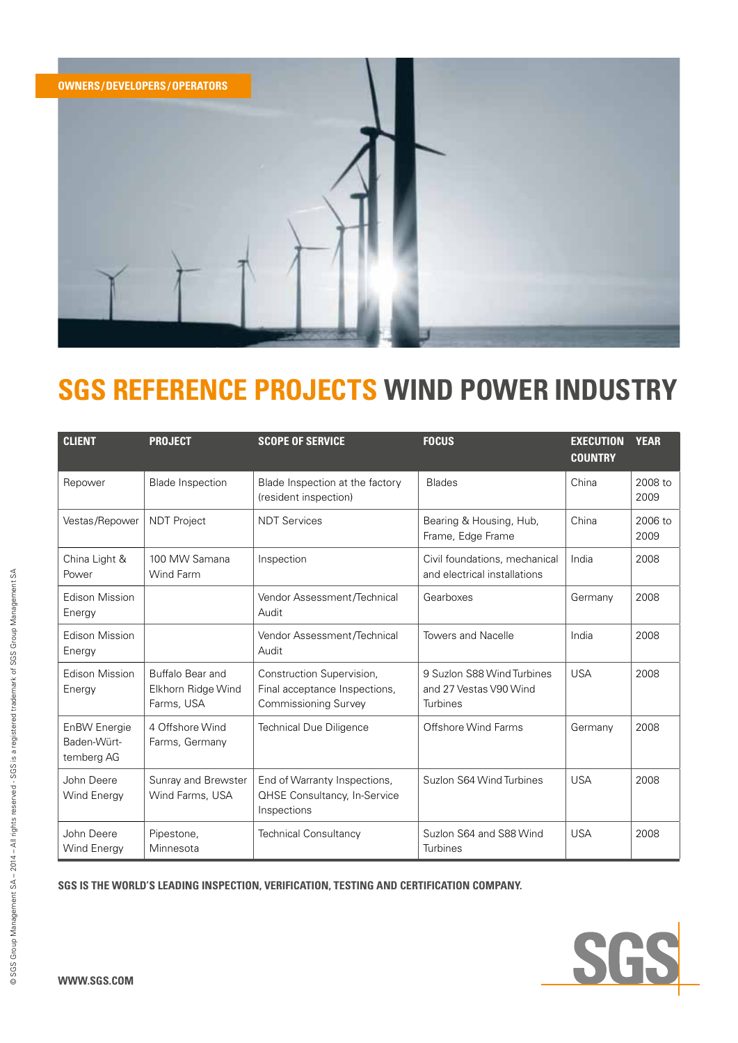

| <b>CLIENT</b>                             | <b>PROJECT</b>                                       | <b>SCOPE OF SERVICE</b>                                                                   | <b>FOCUS</b>                                                     | <b>EXECUTION</b><br><b>COUNTRY</b> | <b>YEAR</b>     |
|-------------------------------------------|------------------------------------------------------|-------------------------------------------------------------------------------------------|------------------------------------------------------------------|------------------------------------|-----------------|
| Repower                                   | <b>Blade Inspection</b>                              | Blade Inspection at the factory<br>(resident inspection)                                  | <b>Blades</b>                                                    | China                              | 2008 to<br>2009 |
| Vestas/Repower                            | <b>NDT Project</b>                                   | <b>NDT Services</b>                                                                       | Bearing & Housing, Hub,<br>Frame, Edge Frame                     | China                              | 2006 to<br>2009 |
| China Light &<br>Power                    | 100 MW Samana<br>Wind Farm                           | Inspection                                                                                | Civil foundations, mechanical<br>and electrical installations    | India                              | 2008            |
| Edison Mission<br>Energy                  |                                                      | Vendor Assessment/Technical<br>Audit                                                      | Gearboxes                                                        | Germany                            | 2008            |
| <b>Edison Mission</b><br>Energy           |                                                      | Vendor Assessment/Technical<br>Audit                                                      | <b>Towers and Nacelle</b>                                        | India                              | 2008            |
| <b>Edison Mission</b><br>Energy           | Buffalo Bear and<br>Elkhorn Ridge Wind<br>Farms, USA | Construction Supervision,<br>Final acceptance Inspections,<br><b>Commissioning Survey</b> | 9 Suzlon S88 Wind Turbines<br>and 27 Vestas V90 Wind<br>Turbines | <b>USA</b>                         | 2008            |
| EnBW Energie<br>Baden-Würt-<br>temberg AG | 4 Offshore Wind<br>Farms, Germany                    | <b>Technical Due Diligence</b>                                                            | Offshore Wind Farms                                              | Germany                            | 2008            |
| John Deere<br>Wind Energy                 | Sunray and Brewster<br>Wind Farms, USA               | End of Warranty Inspections,<br><b>QHSE Consultancy, In-Service</b><br>Inspections        | Suzlon S64 Wind Turbines                                         | <b>USA</b>                         | 2008            |
| John Deere<br>Wind Energy                 | Pipestone,<br>Minnesota                              | <b>Technical Consultancy</b>                                                              | Suzlon S64 and S88 Wind<br>Turbines                              | <b>USA</b>                         | 2008            |

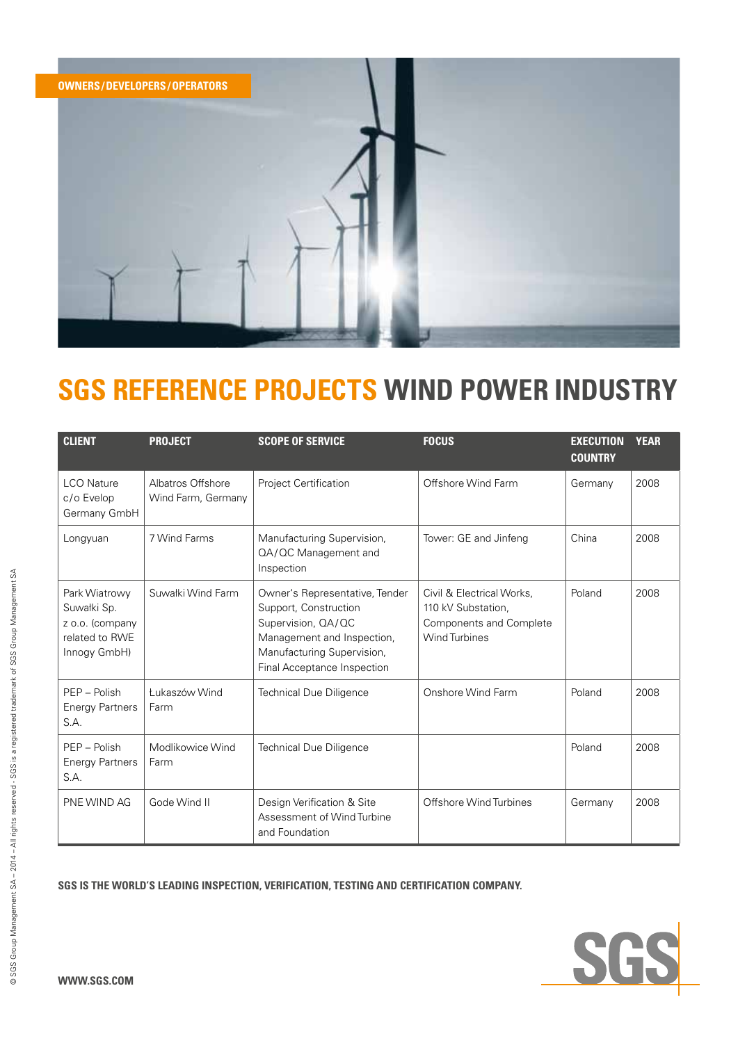

| <b>CLIENT</b>                                                                     | <b>PROJECT</b>                          | <b>SCOPE OF SERVICE</b>                                                                                                                                                  | <b>FOCUS</b>                                                                                       | <b>EXECUTION</b><br><b>COUNTRY</b> | <b>YEAR</b> |
|-----------------------------------------------------------------------------------|-----------------------------------------|--------------------------------------------------------------------------------------------------------------------------------------------------------------------------|----------------------------------------------------------------------------------------------------|------------------------------------|-------------|
| <b>LCO Nature</b><br>c/o Evelop<br>Germany GmbH                                   | Albatros Offshore<br>Wind Farm, Germany | Project Certification                                                                                                                                                    | Offshore Wind Farm                                                                                 | Germany                            | 2008        |
| Longyuan                                                                          | 7 Wind Farms                            | Manufacturing Supervision,<br>QA/QC Management and<br>Inspection                                                                                                         | Tower: GE and Jinfeng                                                                              | China                              | 2008        |
| Park Wiatrowy<br>Suwałki Sp.<br>z o.o. (company<br>related to RWE<br>Innogy GmbH) | Suwałki Wind Farm                       | Owner's Representative, Tender<br>Support, Construction<br>Supervision, QA/QC<br>Management and Inspection,<br>Manufacturing Supervision,<br>Final Acceptance Inspection | Civil & Electrical Works,<br>110 kV Substation,<br>Components and Complete<br><b>Wind Turbines</b> | Poland                             | 2008        |
| $PFP - Polish$<br><b>Energy Partners</b><br>S.A.                                  | t ukaszów Wind<br>Farm                  | <b>Technical Due Diligence</b>                                                                                                                                           | Onshore Wind Farm                                                                                  | Poland                             | 2008        |
| PEP - Polish<br><b>Energy Partners</b><br>S.A.                                    | Modlikowice Wind<br>Farm                | <b>Technical Due Diligence</b>                                                                                                                                           |                                                                                                    | Poland                             | 2008        |
| PNE WIND AG                                                                       | Gode Wind II                            | Design Verification & Site<br>Assessment of Wind Turbine<br>and Foundation                                                                                               | Offshore Wind Turbines                                                                             | Germany                            | 2008        |

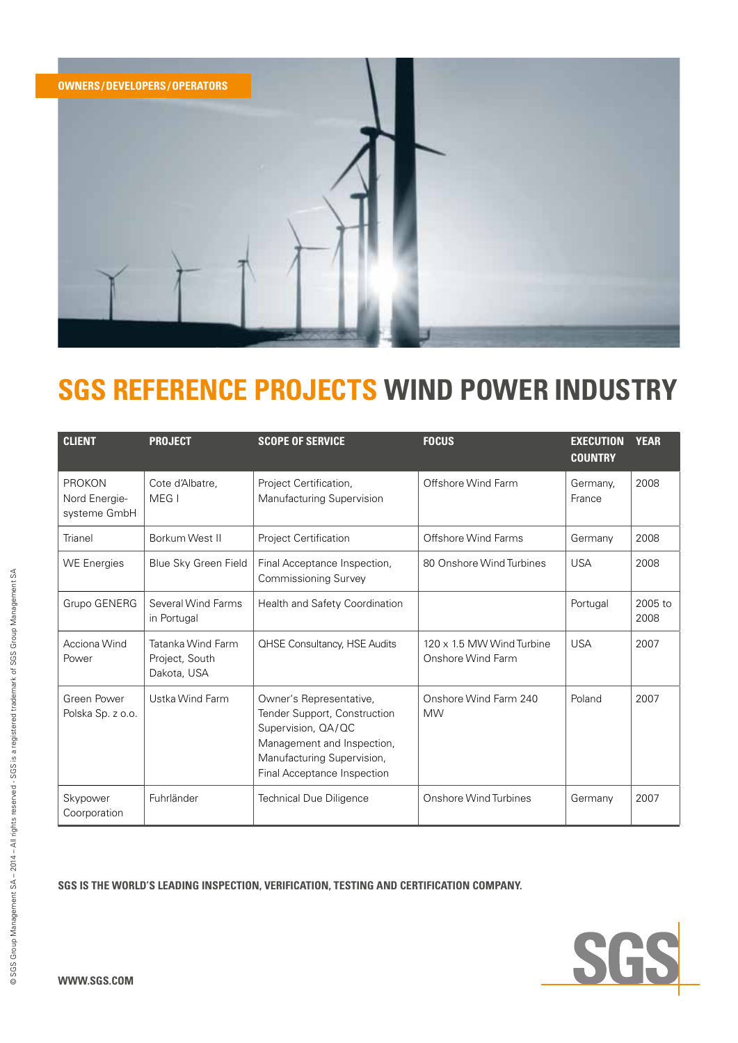

| <b>CLIENT</b>                                  | <b>PROJECT</b>                                     | <b>SCOPE OF SERVICE</b>                                                                                                                                                  | <b>FOCUS</b>                                   | <b>EXECUTION</b><br><b>COUNTRY</b> | <b>YEAR</b>     |
|------------------------------------------------|----------------------------------------------------|--------------------------------------------------------------------------------------------------------------------------------------------------------------------------|------------------------------------------------|------------------------------------|-----------------|
| <b>PROKON</b><br>Nord Energie-<br>systeme GmbH | Cote d'Albatre,<br>MEG I                           | Project Certification,<br>Manufacturing Supervision                                                                                                                      | Offshore Wind Farm                             | Germany,<br>France                 | 2008            |
| Trianel                                        | Borkum West II                                     | Project Certification                                                                                                                                                    | Offshore Wind Farms                            | Germany                            | 2008            |
| <b>WE Energies</b>                             | Blue Sky Green Field                               | Final Acceptance Inspection,<br><b>Commissioning Survey</b>                                                                                                              | 80 Onshore Wind Turbines                       | <b>USA</b>                         | 2008            |
| Grupo GENERG                                   | Several Wind Farms<br>in Portugal                  | Health and Safety Coordination                                                                                                                                           |                                                | Portugal                           | 2005 to<br>2008 |
| Acciona Wind<br>Power                          | Tatanka Wind Farm<br>Project, South<br>Dakota, USA | <b>QHSE Consultancy, HSE Audits</b>                                                                                                                                      | 120 x 1.5 MW Wind Turbine<br>Onshore Wind Farm | <b>USA</b>                         | 2007            |
| Green Power<br>Polska Sp. z o.o.               | Ustka Wind Farm                                    | Owner's Representative,<br>Tender Support, Construction<br>Supervision, QA/QC<br>Management and Inspection,<br>Manufacturing Supervision,<br>Final Acceptance Inspection | Onshore Wind Farm 240<br><b>MW</b>             | Poland                             | 2007            |
| Skypower<br>Coorporation                       | Fuhrländer                                         | <b>Technical Due Diligence</b>                                                                                                                                           | Onshore Wind Turbines                          | Germany                            | 2007            |

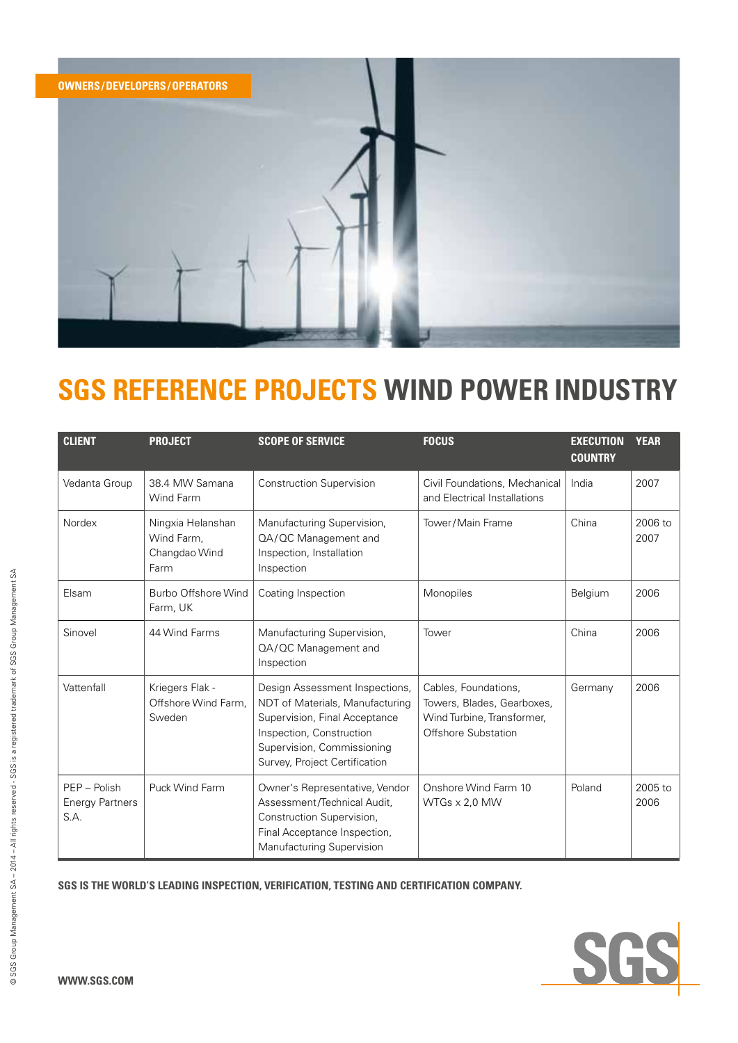

| <b>CLIENT</b>                                  | <b>PROJECT</b>                                           | <b>SCOPE OF SERVICE</b>                                                                                                                                                                       | <b>FOCUS</b>                                                                                            | <b>EXECUTION</b><br><b>COUNTRY</b> | <b>YEAR</b>     |
|------------------------------------------------|----------------------------------------------------------|-----------------------------------------------------------------------------------------------------------------------------------------------------------------------------------------------|---------------------------------------------------------------------------------------------------------|------------------------------------|-----------------|
| Vedanta Group                                  | 38.4 MW Samana<br>Wind Farm                              | <b>Construction Supervision</b>                                                                                                                                                               | Civil Foundations, Mechanical<br>and Electrical Installations                                           | India                              | 2007            |
| Nordex                                         | Ningxia Helanshan<br>Wind Farm.<br>Changdao Wind<br>Farm | Manufacturing Supervision,<br>QA/QC Management and<br>Inspection, Installation<br>Inspection                                                                                                  | Tower/Main Frame                                                                                        | China                              | 2006 to<br>2007 |
| Elsam                                          | Burbo Offshore Wind<br>Farm, UK                          | Coating Inspection                                                                                                                                                                            | Monopiles                                                                                               | Belgium                            | 2006            |
| Sinovel                                        | 44 Wind Farms                                            | Manufacturing Supervision,<br>QA/QC Management and<br>Inspection                                                                                                                              | Tower                                                                                                   | China                              | 2006            |
| Vattenfall                                     | Kriegers Flak -<br>Offshore Wind Farm.<br>Sweden         | Design Assessment Inspections,<br>NDT of Materials, Manufacturing<br>Supervision, Final Acceptance<br>Inspection, Construction<br>Supervision, Commissioning<br>Survey, Project Certification | Cables, Foundations,<br>Towers, Blades, Gearboxes,<br>Wind Turbine, Transformer,<br>Offshore Substation | Germany                            | 2006            |
| PEP - Polish<br><b>Energy Partners</b><br>S.A. | Puck Wind Farm                                           | Owner's Representative, Vendor<br>Assessment/Technical Audit,<br>Construction Supervision,<br>Final Acceptance Inspection,<br>Manufacturing Supervision                                       | Onshore Wind Farm 10<br>WTGs x 2,0 MW                                                                   | Poland                             | 2005 to<br>2006 |